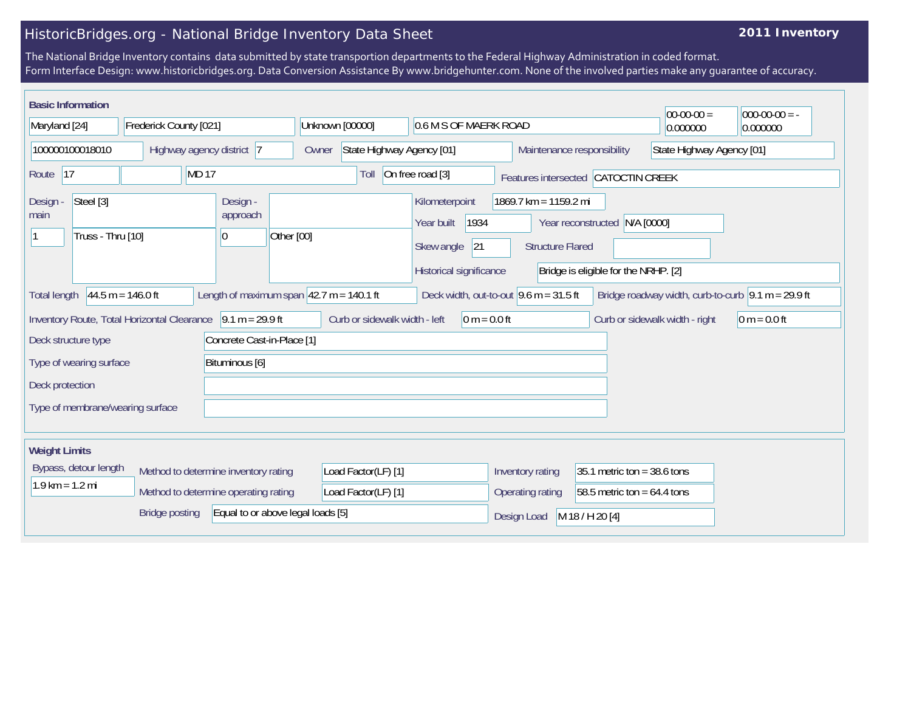## HistoricBridges.org - National Bridge Inventory Data Sheet

## **2011 Inventory**

The National Bridge Inventory contains data submitted by state transportion departments to the Federal Highway Administration in coded format. Form Interface Design: www.historicbridges.org. Data Conversion Assistance By www.bridgehunter.com. None of the involved parties make any guarantee of accuracy.

| <b>Basic Information</b>                                                                                                                                                                                                            |                        |                                                                                      |                                                         |                                                                                                                           |                                |                                     | $ 00-00-00 $ | $000-00-00 = -$ |  |
|-------------------------------------------------------------------------------------------------------------------------------------------------------------------------------------------------------------------------------------|------------------------|--------------------------------------------------------------------------------------|---------------------------------------------------------|---------------------------------------------------------------------------------------------------------------------------|--------------------------------|-------------------------------------|--------------|-----------------|--|
| Maryland [24]                                                                                                                                                                                                                       | Frederick County [021] |                                                                                      | Unknown [00000]<br>0.6 M S OF MAERK ROAD                |                                                                                                                           |                                |                                     | 0.000000     | 0.000000        |  |
| 100000100018010<br>Highway agency district 7                                                                                                                                                                                        |                        | Owner                                                                                | State Highway Agency [01]<br>Maintenance responsibility |                                                                                                                           |                                | State Highway Agency [01]           |              |                 |  |
| 17<br>Route                                                                                                                                                                                                                         | <b>MD17</b>            |                                                                                      | Toll                                                    | On free road [3]                                                                                                          |                                | Features intersected CATOCTIN CREEK |              |                 |  |
| Steel [3]<br>Design -<br>Design -<br>approach<br>main<br>Truss - Thru [10]<br>Other [00]<br>0                                                                                                                                       |                        | Kilometerpoint<br>1934<br>Year built<br> 21<br>Skew angle<br>Historical significance |                                                         | 1869.7 km = 1159.2 mi<br>Year reconstructed N/A [0000]<br><b>Structure Flared</b><br>Bridge is eligible for the NRHP. [2] |                                |                                     |              |                 |  |
| $44.5 m = 146.0 ft$<br>Length of maximum span $ 42.7 \text{ m} = 140.1 \text{ ft}$<br>Bridge roadway width, curb-to-curb $\vert 9.1 \text{ m} = 29.9 \text{ ft}$<br>Deck width, out-to-out $9.6$ m = 31.5 ft<br><b>Total length</b> |                        |                                                                                      |                                                         |                                                                                                                           |                                |                                     |              |                 |  |
| Inventory Route, Total Horizontal Clearance 9.1 m = 29.9 ft<br>Curb or sidewalk width - left<br>$0 m = 0.0 ft$<br>Curb or sidewalk width - right<br>$0 m = 0.0 ft$                                                                  |                        |                                                                                      |                                                         |                                                                                                                           |                                |                                     |              |                 |  |
| Concrete Cast-in-Place [1]<br>Deck structure type                                                                                                                                                                                   |                        |                                                                                      |                                                         |                                                                                                                           |                                |                                     |              |                 |  |
| Type of wearing surface<br>Bituminous [6]                                                                                                                                                                                           |                        |                                                                                      |                                                         |                                                                                                                           |                                |                                     |              |                 |  |
| Deck protection                                                                                                                                                                                                                     |                        |                                                                                      |                                                         |                                                                                                                           |                                |                                     |              |                 |  |
| Type of membrane/wearing surface                                                                                                                                                                                                    |                        |                                                                                      |                                                         |                                                                                                                           |                                |                                     |              |                 |  |
| <b>Weight Limits</b>                                                                                                                                                                                                                |                        |                                                                                      |                                                         |                                                                                                                           |                                |                                     |              |                 |  |
| Bypass, detour length<br>Method to determine inventory rating                                                                                                                                                                       |                        | Load Factor(LF) [1]                                                                  |                                                         | Inventory rating                                                                                                          | 35.1 metric ton = $38.6$ tons  |                                     |              |                 |  |
| $1.9$ km = 1.2 mi                                                                                                                                                                                                                   |                        | Method to determine operating rating                                                 | Load Factor(LF) [1]                                     |                                                                                                                           | Operating rating               | 58.5 metric ton = $64.4$ tons       |              |                 |  |
| Equal to or above legal loads [5]<br><b>Bridge posting</b>                                                                                                                                                                          |                        |                                                                                      |                                                         |                                                                                                                           | Design Load<br>M 18 / H 20 [4] |                                     |              |                 |  |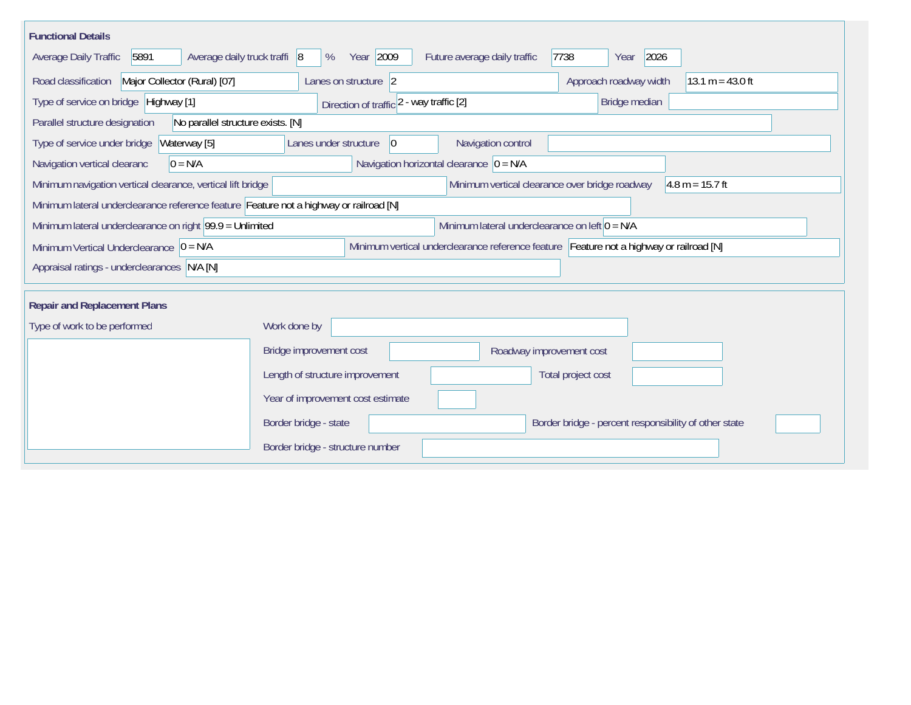| <b>Functional Details</b>                                                                                                             |                                                                                |                                              |  |  |  |  |  |  |
|---------------------------------------------------------------------------------------------------------------------------------------|--------------------------------------------------------------------------------|----------------------------------------------|--|--|--|--|--|--|
| 5891<br>Average daily truck traffi 8<br>Average Daily Traffic                                                                         | Year 2009<br>7738<br>Future average daily traffic<br>%                         | 2026<br>Year                                 |  |  |  |  |  |  |
| Road classification<br>Major Collector (Rural) [07]                                                                                   | Lanes on structure 2                                                           | Approach roadway width<br>$13.1 m = 43.0 ft$ |  |  |  |  |  |  |
| Type of service on bridge Highway [1]                                                                                                 | Direction of traffic 2 - way traffic [2]                                       | Bridge median                                |  |  |  |  |  |  |
| No parallel structure exists. [N]<br>Parallel structure designation                                                                   |                                                                                |                                              |  |  |  |  |  |  |
| Waterway [5]<br>Type of service under bridge                                                                                          | Navigation control<br>Lanes under structure<br> 0                              |                                              |  |  |  |  |  |  |
| Navigation horizontal clearance $ 0 = N/A$<br>$0 = N/A$<br>Navigation vertical clearanc                                               |                                                                                |                                              |  |  |  |  |  |  |
| Minimum navigation vertical clearance, vertical lift bridge<br>Minimum vertical clearance over bridge roadway<br>$4.8 m = 15.7 ft$    |                                                                                |                                              |  |  |  |  |  |  |
| Minimum lateral underclearance reference feature Feature not a highway or railroad [N]                                                |                                                                                |                                              |  |  |  |  |  |  |
| Minimum lateral underclearance on left $0 = N/A$<br>Minimum lateral underclearance on right $99.9 =$ Unlimited                        |                                                                                |                                              |  |  |  |  |  |  |
| Minimum vertical underclearance reference feature Feature not a highway or railroad [N]<br>Minimum Vertical Underclearance $ 0 = N/A$ |                                                                                |                                              |  |  |  |  |  |  |
| Appraisal ratings - underclearances N/A [N]                                                                                           |                                                                                |                                              |  |  |  |  |  |  |
|                                                                                                                                       |                                                                                |                                              |  |  |  |  |  |  |
| <b>Repair and Replacement Plans</b>                                                                                                   |                                                                                |                                              |  |  |  |  |  |  |
| Type of work to be performed<br>Work done by                                                                                          |                                                                                |                                              |  |  |  |  |  |  |
|                                                                                                                                       | Bridge improvement cost<br>Roadway improvement cost                            |                                              |  |  |  |  |  |  |
|                                                                                                                                       | Length of structure improvement<br>Total project cost                          |                                              |  |  |  |  |  |  |
|                                                                                                                                       | Year of improvement cost estimate                                              |                                              |  |  |  |  |  |  |
|                                                                                                                                       | Border bridge - state<br>Border bridge - percent responsibility of other state |                                              |  |  |  |  |  |  |
|                                                                                                                                       | Border bridge - structure number                                               |                                              |  |  |  |  |  |  |